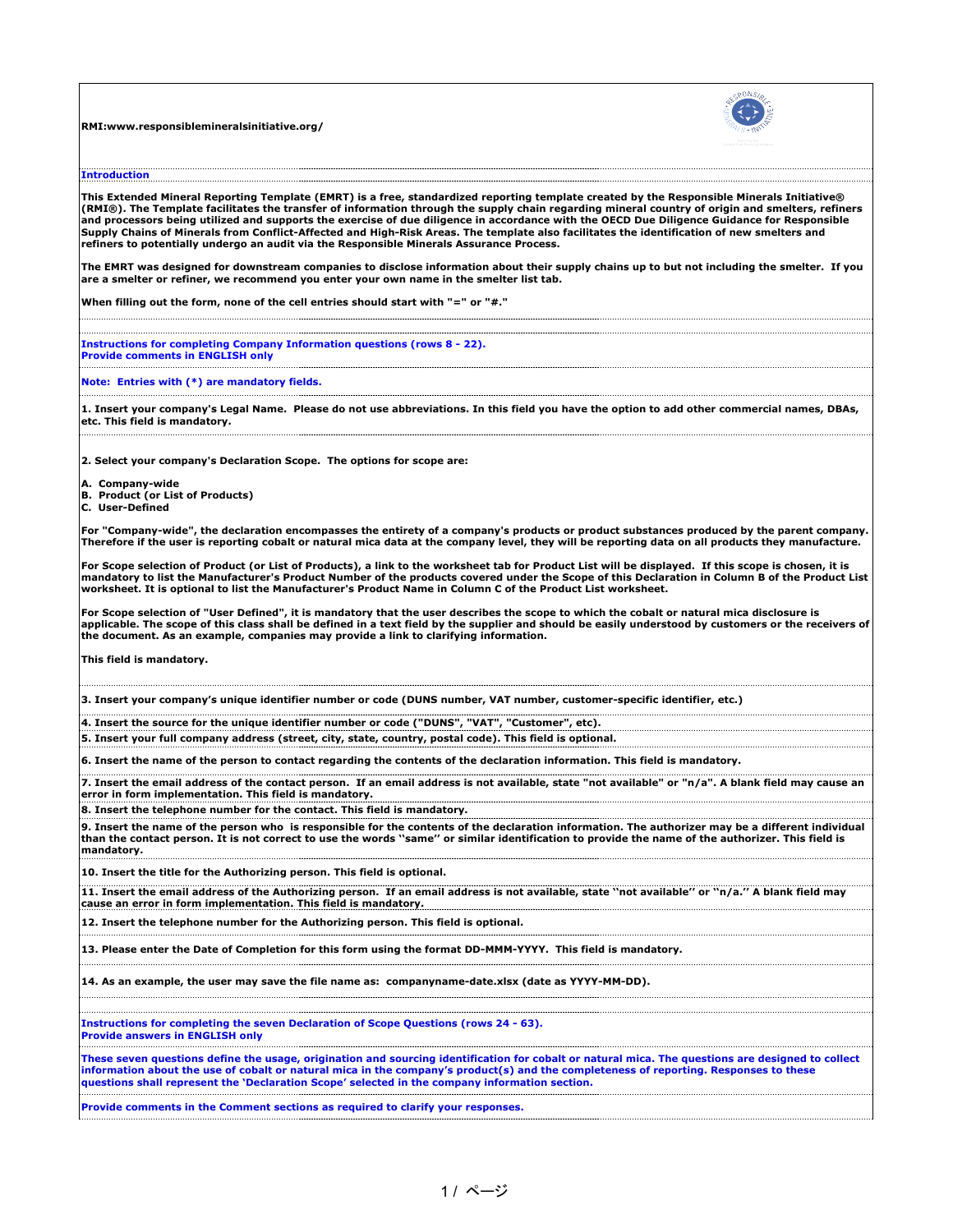**RMI:www.responsiblemineralsinitiative.org/**



**Introduction**

**This Extended Mineral Reporting Template (EMRT) is a free, standardized reporting template created by the Responsible Minerals Initiative® (RMI®). The Template facilitates the transfer of information through the supply chain regarding mineral country of origin and smelters, refiners and processors being utilized and supports the exercise of due diligence in accordance with the OECD Due Diligence Guidance for Responsible Supply Chains of Minerals from Conflict-Affected and High-Risk Areas. The template also facilitates the identification of new smelters and refiners to potentially undergo an audit via the Responsible Minerals Assurance Process.**

**The EMRT was designed for downstream companies to disclose information about their supply chains up to but not including the smelter. If you are a smelter or refiner, we recommend you enter your own name in the smelter list tab.**

**When filling out the form, none of the cell entries should start with "=" or "#."**

**Instructions for completing Company Information questions (rows 8 - 22). Provide comments in ENGLISH only**

**Note: Entries with (\*) are mandatory fields.** 

**1. Insert your company's Legal Name. Please do not use abbreviations. In this field you have the option to add other commercial names, DBAs, etc. This field is mandatory.**

**2. Select your company's Declaration Scope. The options for scope are:**

**A. Company-wide**

- **B. Product (or List of Products)**
- **C. User-Defined**

**For "Company-wide", the declaration encompasses the entirety of a company's products or product substances produced by the parent company. Therefore if the user is reporting cobalt or natural mica data at the company level, they will be reporting data on all products they manufacture.** 

**For Scope selection of Product (or List of Products), a link to the worksheet tab for Product List will be displayed. If this scope is chosen, it is**  mandatory to list the Manufacturer's Product Number of the products covered under the Scope of this Declaration in Column B of the Product List |<br>worksheet. It is optional to list the Manufacturer's Product Name in Column

**For Scope selection of "User Defined", it is mandatory that the user describes the scope to which the cobalt or natural mica disclosure is**  applicable. The scope of this class shall be defined in a text field by the supplier and should be easily understood by customers or the receivers of **the document. As an example, companies may provide a link to clarifying information.**

**This field is mandatory.**

**3. Insert your company's unique identifier number or code (DUNS number, VAT number, customer-specific identifier, etc.)**

**4. Insert the source for the unique identifier number or code ("DUNS", "VAT", "Customer", etc).** 

**5. Insert your full company address (street, city, state, country, postal code). This field is optional.**

**6. Insert the name of the person to contact regarding the contents of the declaration information. This field is mandatory.**

**7. Insert the email address of the contact person. If an email address is not available, state "not available" or "n/a". A blank field may cause an error in form implementation. This field is mandatory.** 

**8. Insert the telephone number for the contact. This field is mandatory.**

**9. Insert the name of the person who is responsible for the contents of the declaration information. The authorizer may be a different individual than the contact person. It is not correct to use the words ''same'' or similar identification to provide the name of the authorizer. This field is mandatory.**

**10. Insert the title for the Authorizing person. This field is optional.**

**11. Insert the email address of the Authorizing person. If an email address is not available, state ''not available'' or ''n/a.'' A blank field may cause an error in form implementation. This field is mandatory.**

**12. Insert the telephone number for the Authorizing person. This field is optional.**

**13. Please enter the Date of Completion for this form using the format DD-MMM-YYYY. This field is mandatory.**

**14. As an example, the user may save the file name as: companyname-date.xlsx (date as YYYY-MM-DD).** 

**Instructions for completing the seven Declaration of Scope Questions (rows 24 - 63). Provide answers in ENGLISH only**

**These seven questions define the usage, origination and sourcing identification for cobalt or natural mica. The questions are designed to collect information about the use of cobalt or natural mica in the company's product(s) and the completeness of reporting. Responses to these questions shall represent the 'Declaration Scope' selected in the company information section.**

**Provide comments in the Comment sections as required to clarify your responses.**

1 / ページ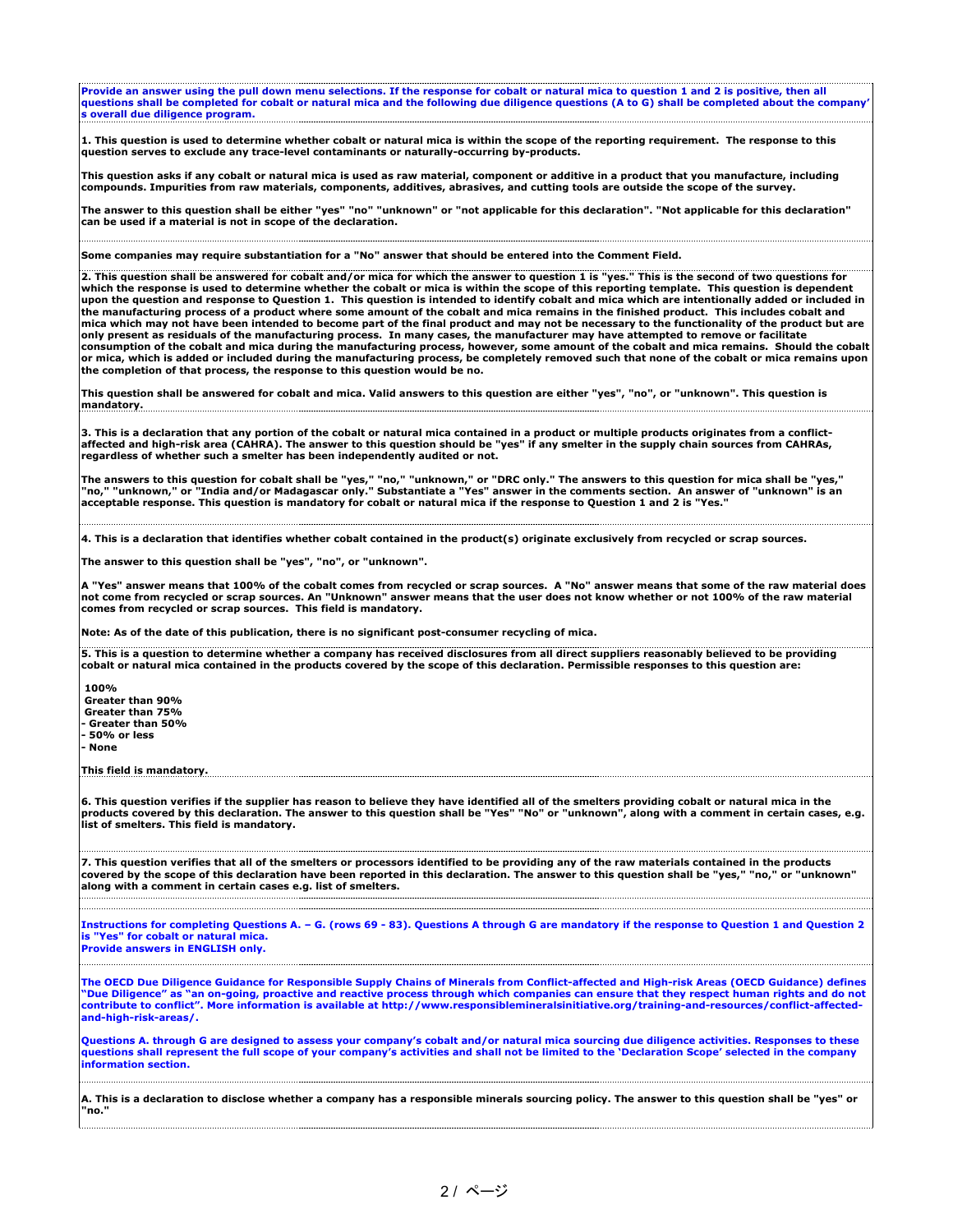**Provide an answer using the pull down menu selections. If the response for cobalt or natural mica to question 1 and 2 is positive, then all questions shall be completed for cobalt or natural mica and the following due diligence questions (A to G) shall be completed about the company' s overall due diligence program.**

**1. This question is used to determine whether cobalt or natural mica is within the scope of the reporting requirement. The response to this question serves to exclude any trace-level contaminants or naturally-occurring by-products.**

**This question asks if any cobalt or natural mica is used as raw material, component or additive in a product that you manufacture, including compounds. Impurities from raw materials, components, additives, abrasives, and cutting tools are outside the scope of the survey.**

**The answer to this question shall be either "yes" "no" "unknown" or "not applicable for this declaration". "Not applicable for this declaration" can be used if a material is not in scope of the declaration.**

**Some companies may require substantiation for a "No" answer that should be entered into the Comment Field.**

**2. This question shall be answered for cobalt and/or mica for which the answer to question 1 is "yes." This is the second of two questions for which the response is used to determine whether the cobalt or mica is within the scope of this reporting template. This question is dependent upon the question and response to Question 1. This question is intended to identify cobalt and mica which are intentionally added or included in the manufacturing process of a product where some amount of the cobalt and mica remains in the finished product. This includes cobalt and mica which may not have been intended to become part of the final product and may not be necessary to the functionality of the product but are only present as residuals of the manufacturing process. In many cases, the manufacturer may have attempted to remove or facilitate**  consumption of the cobalt and mica during the manufacturing process, however, some amount of the cobalt and mica remains. Should the cobalt |<br>or mica, which is added or included during the manufacturing process, be comple **the completion of that process, the response to this question would be no.**

**This question shall be answered for cobalt and mica. Valid answers to this question are either "yes", "no", or "unknown". This question is mandatory.** 

3. This is a declaration that any portion of the cobalt or natural mica contained in a product or multiple products originates from a conflict-<br>affected and high-risk area (CAHRA). The answer to this question should be "ye

The answers to this question for cobalt shall be "yes," "no," "unknown," or "DRC only." The answers to this question for mica shall be "yes,"<br>"no," "unknown," or "India and/or Madagascar only." Substantiate a "Yes" answer **acceptable response. This question is mandatory for cobalt or natural mica if the response to Question 1 and 2 is "Yes."**

**4. This is a declaration that identifies whether cobalt contained in the product(s) originate exclusively from recycled or scrap sources.** 

**The answer to this question shall be "yes", "no", or "unknown".**

**A "Yes" answer means that 100% of the cobalt comes from recycled or scrap sources. A "No" answer means that some of the raw material does not come from recycled or scrap sources. An "Unknown" answer means that the user does not know whether or not 100% of the raw material comes from recycled or scrap sources. This field is mandatory.**

**Note: As of the date of this publication, there is no significant post-consumer recycling of mica.**

**5. This is a question to determine whether a company has received disclosures from all direct suppliers reasonably believed to be providing cobalt or natural mica contained in the products covered by the scope of this declaration. Permissible responses to this question are:**

 **100% Greater than 90% Greater than 75% - Greater than 50% - 50% or less - None**

**This field is mandatory.**

**6. This question verifies if the supplier has reason to believe they have identified all of the smelters providing cobalt or natural mica in the products covered by this declaration. The answer to this question shall be "Yes" "No" or "unknown", along with a comment in certain cases, e.g. list of smelters. This field is mandatory.**

**7. This question verifies that all of the smelters or processors identified to be providing any of the raw materials contained in the products covered by the scope of this declaration have been reported in this declaration. The answer to this question shall be "yes," "no," or "unknown" along with a comment in certain cases e.g. list of smelters.**

**Instructions for completing Questions A. – G. (rows 69 - 83). Questions A through G are mandatory if the response to Question 1 and Question 2 is "Yes" for cobalt or natural mica.**

**Provide answers in ENGLISH only.**

**The OECD Due Diligence Guidance for Responsible Supply Chains of Minerals from Conflict-affected and High-risk Areas (OECD Guidance) defines**  "Due Diligence" as "an on-going, proactive and reactive process through which companies can ensure that they respect human rights and do not<br>contribute to conflict". More information is available at http://www.responsiblem **and-high-risk-areas/.**

**Questions A. through G are designed to assess your company's cobalt and/or natural mica sourcing due diligence activities. Responses to these questions shall represent the full scope of your company's activities and shall not be limited to the 'Declaration Scope' selected in the company information section.**

**A. This is a declaration to disclose whether a company has a responsible minerals sourcing policy. The answer to this question shall be "yes" or "no."**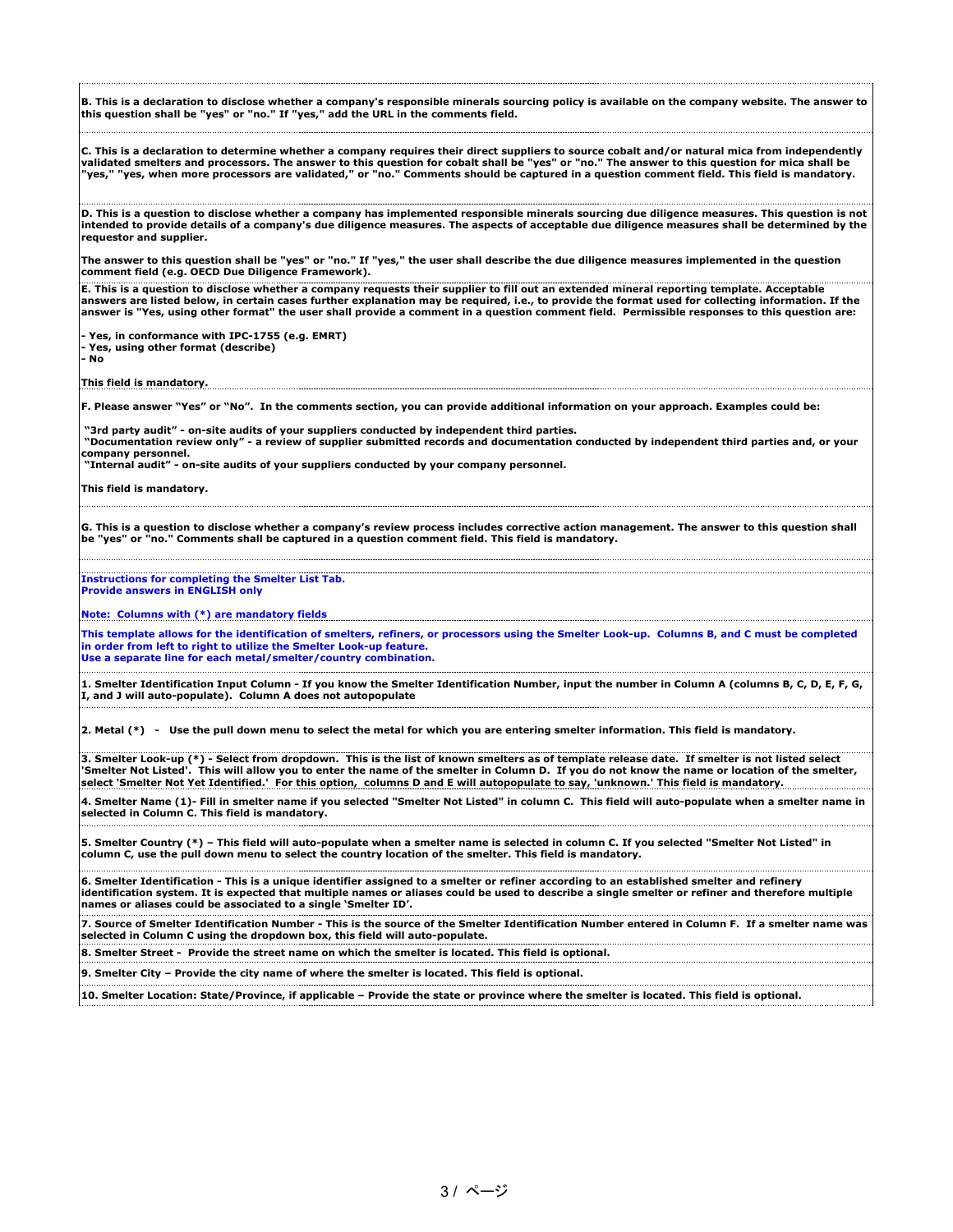**B. This is a declaration to disclose whether a company's responsible minerals sourcing policy is available on the company website. The answer to this question shall be "yes" or "no." If "yes," add the URL in the comments field.**

C. This is a declaration to determine whether a company requires their direct suppliers to source cobalt and/or natural mica from independently<br>validated smelters and processors. The answer to this question for cobalt shal

**D. This is a question to disclose whether a company has implemented responsible minerals sourcing due diligence measures. This question is not intended to provide details of a company's due diligence measures. The aspects of acceptable due diligence measures shall be determined by the requestor and supplier.**

**The answer to this question shall be "yes" or "no." If "yes," the user shall describe the due diligence measures implemented in the question comment field (e.g. OECD Due Diligence Framework).**

**E. This is a question to disclose whether a company requests their supplier to fill out an extended mineral reporting template. Acceptable answers are listed below, in certain cases further explanation may be required, i.e., to provide the format used for collecting information. If the answer is "Yes, using other format" the user shall provide a comment in a question comment field. Permissible responses to this question are:**

**- Yes, in conformance with IPC-1755 (e.g. EMRT)**

**- Yes, using other format (describe)**

**- No**

**This field is mandatory.**

**F. Please answer "Yes" or "No". In the comments section, you can provide additional information on your approach. Examples could be:**

 **"3rd party audit" - on-site audits of your suppliers conducted by independent third parties.** 

 **"Documentation review only" - a review of supplier submitted records and documentation conducted by independent third parties and, or your company personnel.** 

 **"Internal audit" - on-site audits of your suppliers conducted by your company personnel.**

**This field is mandatory.**

**G. This is a question to disclose whether a company's review process includes corrective action management. The answer to this question shall be "yes" or "no." Comments shall be captured in a question comment field. This field is mandatory.**

**Instructions for completing the Smelter List Tab. Provide answers in ENGLISH only**

**Note: Columns with (\*) are mandatory fields**

**This template allows for the identification of smelters, refiners, or processors using the Smelter Look-up. Columns B, and C must be completed in order from left to right to utilize the Smelter Look-up feature. Use a separate line for each metal/smelter/country combination.**

**1. Smelter Identification Input Column - If you know the Smelter Identification Number, input the number in Column A (columns B, C, D, E, F, G, I, and J will auto-populate). Column A does not autopopulate** 

**2. Metal (\*) - Use the pull down menu to select the metal for which you are entering smelter information. This field is mandatory.**

**3. Smelter Look-up (\*) - Select from dropdown. This is the list of known smelters as of template release date. If smelter is not listed select 'Smelter Not Listed'. This will allow you to enter the name of the smelter in Column D. If you do not know the name or location of the smelter, select 'Smelter Not Yet Identified.' For this option, columns D and E will autopopulate to say, 'unknown.' This field is mandatory.**

**4. Smelter Name (1)- Fill in smelter name if you selected "Smelter Not Listed" in column C. This field will auto-populate when a smelter name in selected in Column C. This field is mandatory.**

**5. Smelter Country (\*) – This field will auto-populate when a smelter name is selected in column C. If you selected "Smelter Not Listed" in column C, use the pull down menu to select the country location of the smelter. This field is mandatory.**

**6. Smelter Identification - This is a unique identifier assigned to a smelter or refiner according to an established smelter and refinery identification system. It is expected that multiple names or aliases could be used to describe a single smelter or refiner and therefore multiple names or aliases could be associated to a single 'Smelter ID'.**

**7. Source of Smelter Identification Number - This is the source of the Smelter Identification Number entered in Column F. If a smelter name was selected in Column C using the dropdown box, this field will auto-populate.** 

**8. Smelter Street - Provide the street name on which the smelter is located. This field is optional.**

**9. Smelter City – Provide the city name of where the smelter is located. This field is optional.**

**10. Smelter Location: State/Province, if applicable – Provide the state or province where the smelter is located. This field is optional.**